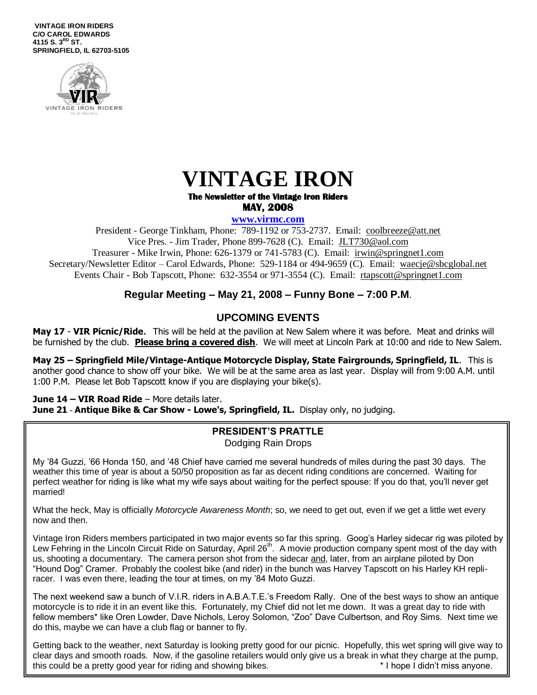**VINTAGE IRON RIDERS C/O CAROL EDWARDS 4115 S. 3 RD ST. SPRINGFIELD, IL 62703-5105**





#### **The Newsletter of the Vintage Iron Riders MAY, 2008**

**www.virmc.com** 

President - George Tinkham, Phone: 789-1192 or 753-2737. Email: [coolbreeze@att.net](mailto:coolbreeze@att.net) Vice Pres. - Jim Trader, Phone 899-7628 (C). Email: [JLT730@aol.com](mailto:JLT730@aol.com) Treasurer - Mike Irwin, Phone: 626-1379 or 741-5783 (C). Email: irwin@springnet1.com Secretary/Newsletter Editor – Carol Edwards, Phone: 529-1184 or 494-9659 (C). Email: waecje@sbcglobal.net Events Chair - Bob Tapscott, Phone: 632-3554 or 971-3554 (C). Email: [rtapscott@springnet1.com](mailto:rtapscott@springnet1.com)

## **Regular Meeting – May 21, 2008 – Funny Bone – 7:00 P.M**.

## **UPCOMING EVENTS**

**May 17** - **VIR Picnic/Ride**. This will be held at the pavilion at New Salem where it was before. Meat and drinks will be furnished by the club. **Please bring a covered dish**. We will meet at Lincoln Park at 10:00 and ride to New Salem.

**May 25 – Springfield Mile/Vintage-Antique Motorcycle Display, State Fairgrounds, Springfield, IL**. This is another good chance to show off your bike. We will be at the same area as last year. Display will from 9:00 A.M. until 1:00 P.M. Please let Bob Tapscott know if you are displaying your bike(s).

**June 14 – VIR Road Ride** – More details later. **June 21** - **Antique Bike & Car Show - Lowe's, Springfield, IL.** Display only, no judging.

### **PRESIDENT'S PRATTLE** Dodging Rain Drops

My '84 Guzzi, '66 Honda 150, and '48 Chief have carried me several hundreds of miles during the past 30 days. The weather this time of year is about a 50/50 proposition as far as decent riding conditions are concerned. Waiting for perfect weather for riding is like what my wife says about waiting for the perfect spouse: If you do that, you'll never get married!

What the heck, May is officially *Motorcycle Awareness Month*; so, we need to get out, even if we get a little wet every now and then.

Vintage Iron Riders members participated in two major events so far this spring. Goog's Harley sidecar rig was piloted by Lew Fehring in the Lincoln Circuit Ride on Saturday, April 26<sup>th</sup>. A movie production company spent most of the day with us, shooting a documentary. The camera person shot from the sidecar and, later, from an airplane piloted by Don "Hound Dog" Cramer. Probably the coolest bike (and rider) in the bunch was Harvey Tapscott on his Harley KH repliracer. I was even there, leading the tour at times, on my '84 Moto Guzzi.

The next weekend saw a bunch of V.I.R. riders in A.B.A.T.E.'s Freedom Rally. One of the best ways to show an antique motorcycle is to ride it in an event like this. Fortunately, my Chief did not let me down. It was a great day to ride with fellow members\* like Oren Lowder, Dave Nichols, Leroy Solomon, "Zoo" Dave Culbertson, and Roy Sims. Next time we do this, maybe we can have a club flag or banner to fly.

Getting back to the weather, next Saturday is looking pretty good for our picnic. Hopefully, this wet spring will give way to clear days and smooth roads. Now, if the gasoline retailers would only give us a break in what they charge at the pump, this could be a pretty good year for riding and showing bikes.  $\blacksquare$  I hope I didn't miss anyone.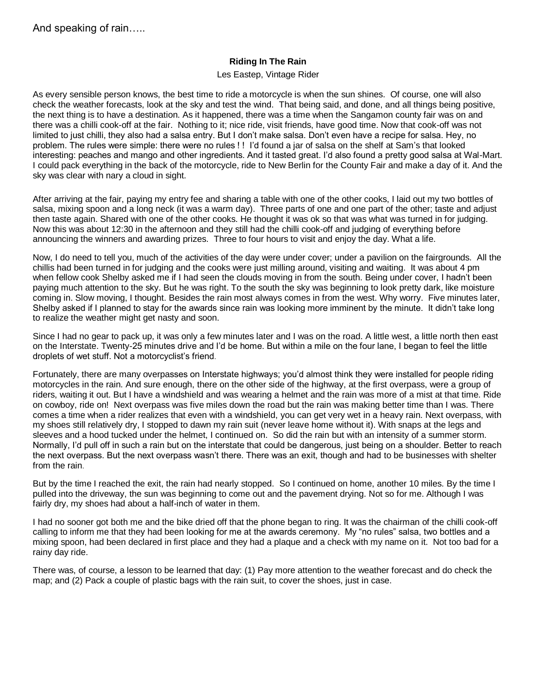### **Riding In The Rain**

#### Les Eastep, Vintage Rider

As every sensible person knows, the best time to ride a motorcycle is when the sun shines. Of course, one will also check the weather forecasts, look at the sky and test the wind. That being said, and done, and all things being positive, the next thing is to have a destination. As it happened, there was a time when the Sangamon county fair was on and there was a chilli cook-off at the fair. Nothing to it; nice ride, visit friends, have good time. Now that cook-off was not limited to just chilli, they also had a salsa entry. But I don't make salsa. Don't even have a recipe for salsa. Hey, no problem. The rules were simple: there were no rules ! ! I'd found a jar of salsa on the shelf at Sam's that looked interesting: peaches and mango and other ingredients. And it tasted great. I'd also found a pretty good salsa at Wal-Mart. I could pack everything in the back of the motorcycle, ride to New Berlin for the County Fair and make a day of it. And the sky was clear with nary a cloud in sight.

After arriving at the fair, paying my entry fee and sharing a table with one of the other cooks, I laid out my two bottles of salsa, mixing spoon and a long neck (it was a warm day). Three parts of one and one part of the other; taste and adjust then taste again. Shared with one of the other cooks. He thought it was ok so that was what was turned in for judging. Now this was about 12:30 in the afternoon and they still had the chilli cook-off and judging of everything before announcing the winners and awarding prizes. Three to four hours to visit and enjoy the day. What a life.

Now, I do need to tell you, much of the activities of the day were under cover; under a pavilion on the fairgrounds. All the chillis had been turned in for judging and the cooks were just milling around, visiting and waiting. It was about 4 pm when fellow cook Shelby asked me if I had seen the clouds moving in from the south. Being under cover, I hadn't been paying much attention to the sky. But he was right. To the south the sky was beginning to look pretty dark, like moisture coming in. Slow moving, I thought. Besides the rain most always comes in from the west. Why worry. Five minutes later, Shelby asked if I planned to stay for the awards since rain was looking more imminent by the minute. It didn't take long to realize the weather might get nasty and soon.

Since I had no gear to pack up, it was only a few minutes later and I was on the road. A little west, a little north then east on the Interstate. Twenty-25 minutes drive and I'd be home. But within a mile on the four lane, I began to feel the little droplets of wet stuff. Not a motorcyclist's friend.

Fortunately, there are many overpasses on Interstate highways; you'd almost think they were installed for people riding motorcycles in the rain. And sure enough, there on the other side of the highway, at the first overpass, were a group of riders, waiting it out. But I have a windshield and was wearing a helmet and the rain was more of a mist at that time. Ride on cowboy, ride on! Next overpass was five miles down the road but the rain was making better time than I was. There comes a time when a rider realizes that even with a windshield, you can get very wet in a heavy rain. Next overpass, with my shoes still relatively dry, I stopped to dawn my rain suit (never leave home without it). With snaps at the legs and sleeves and a hood tucked under the helmet, I continued on. So did the rain but with an intensity of a summer storm. Normally, I'd pull off in such a rain but on the interstate that could be dangerous, just being on a shoulder. Better to reach the next overpass. But the next overpass wasn't there. There was an exit, though and had to be businesses with shelter from the rain.

But by the time I reached the exit, the rain had nearly stopped. So I continued on home, another 10 miles. By the time I pulled into the driveway, the sun was beginning to come out and the pavement drying. Not so for me. Although I was fairly dry, my shoes had about a half-inch of water in them.

I had no sooner got both me and the bike dried off that the phone began to ring. It was the chairman of the chilli cook-off calling to inform me that they had been looking for me at the awards ceremony. My "no rules" salsa, two bottles and a mixing spoon, had been declared in first place and they had a plaque and a check with my name on it. Not too bad for a rainy day ride.

There was, of course, a lesson to be learned that day: (1) Pay more attention to the weather forecast and do check the map; and (2) Pack a couple of plastic bags with the rain suit, to cover the shoes, just in case.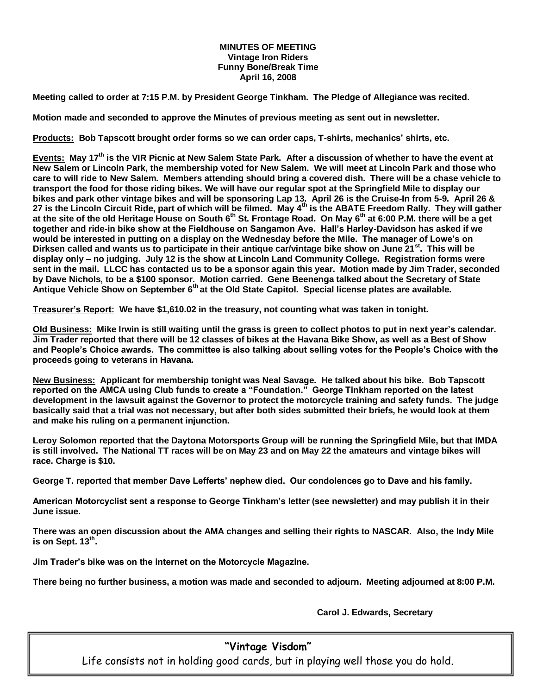#### **MINUTES OF MEETING Vintage Iron Riders Funny Bone/Break Time April 16, 2008**

**Meeting called to order at 7:15 P.M. by President George Tinkham. The Pledge of Allegiance was recited.**

**Motion made and seconded to approve the Minutes of previous meeting as sent out in newsletter.** 

**Products: Bob Tapscott brought order forms so we can order caps, T-shirts, mechanics' shirts, etc.** 

**Events: May 17th is the VIR Picnic at New Salem State Park. After a discussion of whether to have the event at New Salem or Lincoln Park, the membership voted for New Salem. We will meet at Lincoln Park and those who care to will ride to New Salem. Members attending should bring a covered dish. There will be a chase vehicle to transport the food for those riding bikes. We will have our regular spot at the Springfield Mile to display our bikes and park other vintage bikes and will be sponsoring Lap 13. April 26 is the Cruise-In from 5-9. April 26 & 27 is the Lincoln Circuit Ride, part of which will be filmed. May 4th is the ABATE Freedom Rally. They will gather at the site of the old Heritage House on South 6th St. Frontage Road. On May 6th at 6:00 P.M. there will be a get together and ride-in bike show at the Fieldhouse on Sangamon Ave. Hall's Harley-Davidson has asked if we would be interested in putting on a display on the Wednesday before the Mile. The manager of Lowe's on Dirksen called and wants us to participate in their antique car/vintage bike show on June 21st. This will be display only – no judging. July 12 is the show at Lincoln Land Community College. Registration forms were sent in the mail. LLCC has contacted us to be a sponsor again this year. Motion made by Jim Trader, seconded by Dave Nichols, to be a \$100 sponsor. Motion carried. Gene Beenenga talked about the Secretary of State Antique Vehicle Show on September 6th at the Old State Capitol. Special license plates are available.** 

**Treasurer's Report: We have \$1,610.02 in the treasury, not counting what was taken in tonight.**

**Old Business: Mike Irwin is still waiting until the grass is green to collect photos to put in next year's calendar. Jim Trader reported that there will be 12 classes of bikes at the Havana Bike Show, as well as a Best of Show and People's Choice awards. The committee is also talking about selling votes for the People's Choice with the proceeds going to veterans in Havana.**

**New Business: Applicant for membership tonight was Neal Savage. He talked about his bike. Bob Tapscott reported on the AMCA using Club funds to create a "Foundation." George Tinkham reported on the latest development in the lawsuit against the Governor to protect the motorcycle training and safety funds. The judge basically said that a trial was not necessary, but after both sides submitted their briefs, he would look at them and make his ruling on a permanent injunction.**

**Leroy Solomon reported that the Daytona Motorsports Group will be running the Springfield Mile, but that IMDA is still involved. The National TT races will be on May 23 and on May 22 the amateurs and vintage bikes will race. Charge is \$10.**

**George T. reported that member Dave Lefferts' nephew died. Our condolences go to Dave and his family.**

**American Motorcyclist sent a response to George Tinkham's letter (see newsletter) and may publish it in their June issue.**

**There was an open discussion about the AMA changes and selling their rights to NASCAR. Also, the Indy Mile is on Sept. 13th .**

**Jim Trader's bike was on the internet on the Motorcycle Magazine.**

**There being no further business, a motion was made and seconded to adjourn. Meeting adjourned at 8:00 P.M.**

**Carol J. Edwards, Secretary**

## **"Vintage Visdom"**

Life consists not in holding good cards, but in playing well those you do hold.